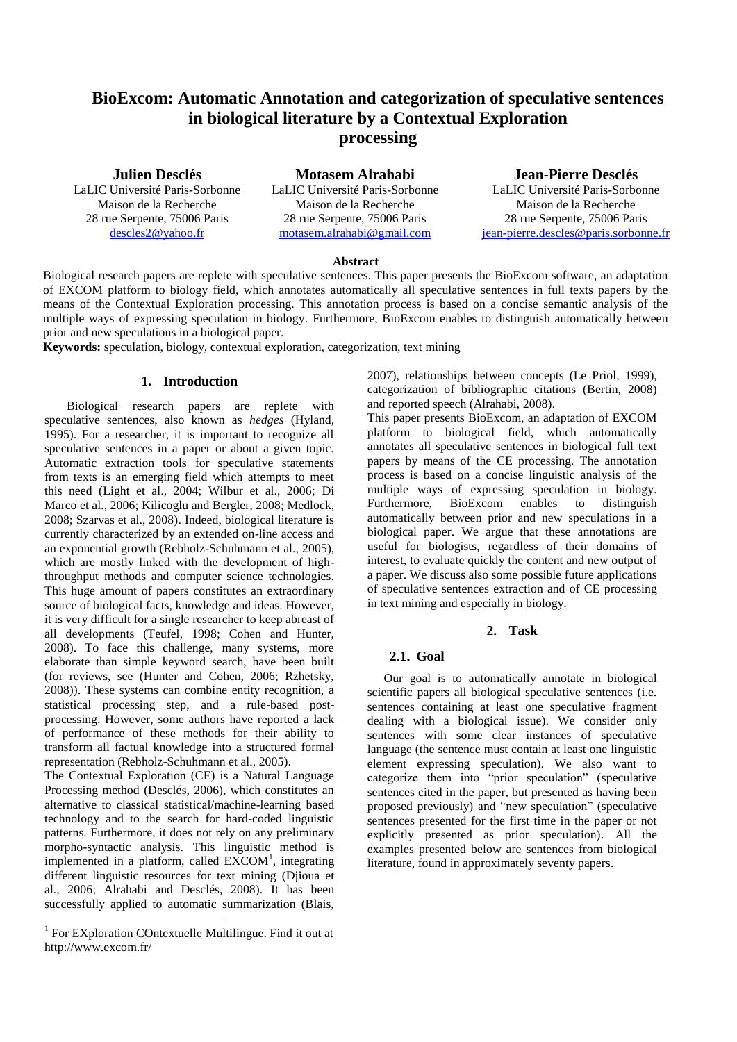# **BioExcom: Automatic Annotation and categorization of speculative sentences in biological literature by a Contextual Exploration processing**

**Julien Desclés** LaLIC Université Paris-Sorbonne Maison de la Recherche 28 rue Serpente, 75006 Paris [descles2@yahoo.fr](mailto:descles2@yahoo.fr)

**Motasem Alrahabi** LaLIC Université Paris-Sorbonne Maison de la Recherche 28 rue Serpente, 75006 Paris [motasem.alrahabi@gmail.com](mailto:motasem.alrahabi@gmail.com)

**Jean-Pierre Desclés** LaLIC Université Paris-Sorbonne Maison de la Recherche 28 rue Serpente, 75006 Paris [jean-pierre.descles@paris.sorbonne.fr](mailto:jean-pierre.descles@paris.sorbonne.fr)

#### **Abstract**

Biological research papers are replete with speculative sentences. This paper presents the BioExcom software, an adaptation of EXCOM platform to biology field, which annotates automatically all speculative sentences in full texts papers by the means of the Contextual Exploration processing. This annotation process is based on a concise semantic analysis of the multiple ways of expressing speculation in biology. Furthermore, BioExcom enables to distinguish automatically between prior and new speculations in a biological paper.

**Keywords:** speculation, biology, contextual exploration, categorization, text mining

### **1. Introduction**

Biological research papers are replete with speculative sentences, also known as *hedges* (Hyland, 1995). For a researcher, it is important to recognize all speculative sentences in a paper or about a given topic. Automatic extraction tools for speculative statements from texts is an emerging field which attempts to meet this need (Light et al., 2004; Wilbur et al., 2006; Di Marco et al., 2006; Kilicoglu and Bergler, 2008; Medlock, 2008; Szarvas et al., 2008). Indeed, biological literature is currently characterized by an extended on-line access and an exponential growth (Rebholz-Schuhmann et al., 2005), which are mostly linked with the development of highthroughput methods and computer science technologies. This huge amount of papers constitutes an extraordinary source of biological facts, knowledge and ideas. However, it is very difficult for a single researcher to keep abreast of all developments (Teufel, 1998; Cohen and Hunter, 2008). To face this challenge, many systems, more elaborate than simple keyword search, have been built (for reviews, see (Hunter and Cohen, 2006; Rzhetsky, 2008)). These systems can combine entity recognition, a statistical processing step, and a rule-based postprocessing. However, some authors have reported a lack of performance of these methods for their ability to transform all factual knowledge into a structured formal representation (Rebholz-Schuhmann et al., 2005).

The Contextual Exploration (CE) is a Natural Language Processing method (Desclés, 2006), which constitutes an alternative to classical statistical/machine-learning based technology and to the search for hard-coded linguistic patterns. Furthermore, it does not rely on any preliminary morpho-syntactic analysis. This linguistic method is implemented in a platform, called EXCOM<sup>1</sup>, integrating different linguistic resources for text mining (Djioua et al., 2006; Alrahabi and Desclés, 2008). It has been successfully applied to automatic summarization (Blais,

1

2007), relationships between concepts (Le Priol, 1999), categorization of bibliographic citations (Bertin, 2008) and reported speech (Alrahabi, 2008).

This paper presents BioExcom, an adaptation of EXCOM platform to biological field, which automatically annotates all speculative sentences in biological full text papers by means of the CE processing. The annotation process is based on a concise linguistic analysis of the multiple ways of expressing speculation in biology. Furthermore, BioExcom enables to distinguish automatically between prior and new speculations in a biological paper. We argue that these annotations are useful for biologists, regardless of their domains of interest, to evaluate quickly the content and new output of a paper. We discuss also some possible future applications of speculative sentences extraction and of CE processing in text mining and especially in biology.

#### **2. Task**

#### **2.1. Goal**

Our goal is to automatically annotate in biological scientific papers all biological speculative sentences (i.e. sentences containing at least one speculative fragment dealing with a biological issue). We consider only sentences with some clear instances of speculative language (the sentence must contain at least one linguistic element expressing speculation). We also want to categorize them into "prior speculation" (speculative sentences cited in the paper, but presented as having been proposed previously) and "new speculation" (speculative sentences presented for the first time in the paper or not explicitly presented as prior speculation). All the examples presented below are sentences from biological literature, found in approximately seventy papers.

<sup>&</sup>lt;sup>1</sup> For EXploration COntextuelle Multilingue. Find it out at http://www.excom.fr/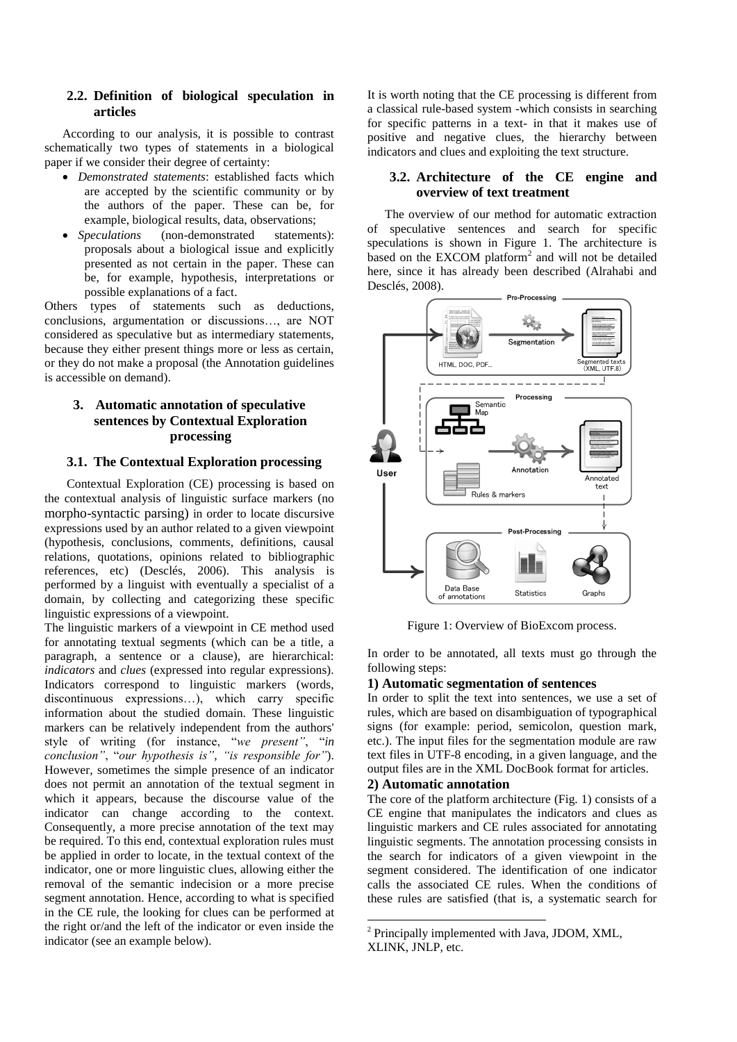## **2.2. Definition of biological speculation in articles**

According to our analysis, it is possible to contrast schematically two types of statements in a biological paper if we consider their degree of certainty:

- *Demonstrated statements*: established facts which are accepted by the scientific community or by the authors of the paper. These can be, for example, biological results, data, observations;
- *Speculations* (non-demonstrated statements): proposals about a biological issue and explicitly presented as not certain in the paper. These can be, for example, hypothesis, interpretations or possible explanations of a fact.

Others types of statements such as deductions, conclusions, argumentation or discussions…, are NOT considered as speculative but as intermediary statements, because they either present things more or less as certain, or they do not make a proposal (the Annotation guidelines is accessible on demand).

# **3. Automatic annotation of speculative sentences by Contextual Exploration processing**

# **3.1. The Contextual Exploration processing**

Contextual Exploration (CE) processing is based on the contextual analysis of linguistic surface markers (no morpho-syntactic parsing) in order to locate discursive expressions used by an author related to a given viewpoint (hypothesis, conclusions, comments, definitions, causal relations, quotations, opinions related to bibliographic references, etc) (Desclés, 2006). This analysis is performed by a linguist with eventually a specialist of a domain, by collecting and categorizing these specific linguistic expressions of a viewpoint.

The linguistic markers of a viewpoint in CE method used for annotating textual segments (which can be a title, a paragraph, a sentence or a clause), are hierarchical: *indicators* and *clues* (expressed into regular expressions). Indicators correspond to linguistic markers (words, discontinuous expressions…), which carry specific information about the studied domain. These linguistic markers can be relatively independent from the authors' style of writing (for instance, "*we present"*, "*in conclusion"*, "*our hypothesis is"*, *"is responsible for"*). However, sometimes the simple presence of an indicator does not permit an annotation of the textual segment in which it appears, because the discourse value of the indicator can change according to the context. Consequently, a more precise annotation of the text may be required. To this end, contextual exploration rules must be applied in order to locate, in the textual context of the indicator, one or more linguistic clues, allowing either the removal of the semantic indecision or a more precise segment annotation. Hence, according to what is specified in the CE rule, the looking for clues can be performed at the right or/and the left of the indicator or even inside the indicator (see an example below).

It is worth noting that the CE processing is different from a classical rule-based system -which consists in searching for specific patterns in a text- in that it makes use of positive and negative clues, the hierarchy between indicators and clues and exploiting the text structure.

## **3.2. Architecture of the CE engine and overview of text treatment**

The overview of our method for automatic extraction of speculative sentences and search for specific speculations is shown in Figure 1. The architecture is based on the EXCOM platform<sup>2</sup> and will not be detailed here, since it has already been described (Alrahabi and Desclés, 2008).



Figure 1: Overview of BioExcom process.

In order to be annotated, all texts must go through the following steps:

## **1) Automatic segmentation of sentences**

In order to split the text into sentences, we use a set of rules, which are based on disambiguation of typographical signs (for example: period, semicolon, question mark, etc.). The input files for the segmentation module are raw text files in UTF-8 encoding, in a given language, and the output files are in the XML DocBook format for articles.

## **2) Automatic annotation**

1

The core of the platform architecture (Fig. 1) consists of a CE engine that manipulates the indicators and clues as linguistic markers and CE rules associated for annotating linguistic segments. The annotation processing consists in the search for indicators of a given viewpoint in the segment considered. The identification of one indicator calls the associated CE rules. When the conditions of these rules are satisfied (that is, a systematic search for

<sup>2</sup> Principally implemented with Java, JDOM, XML, XLINK, JNLP, etc.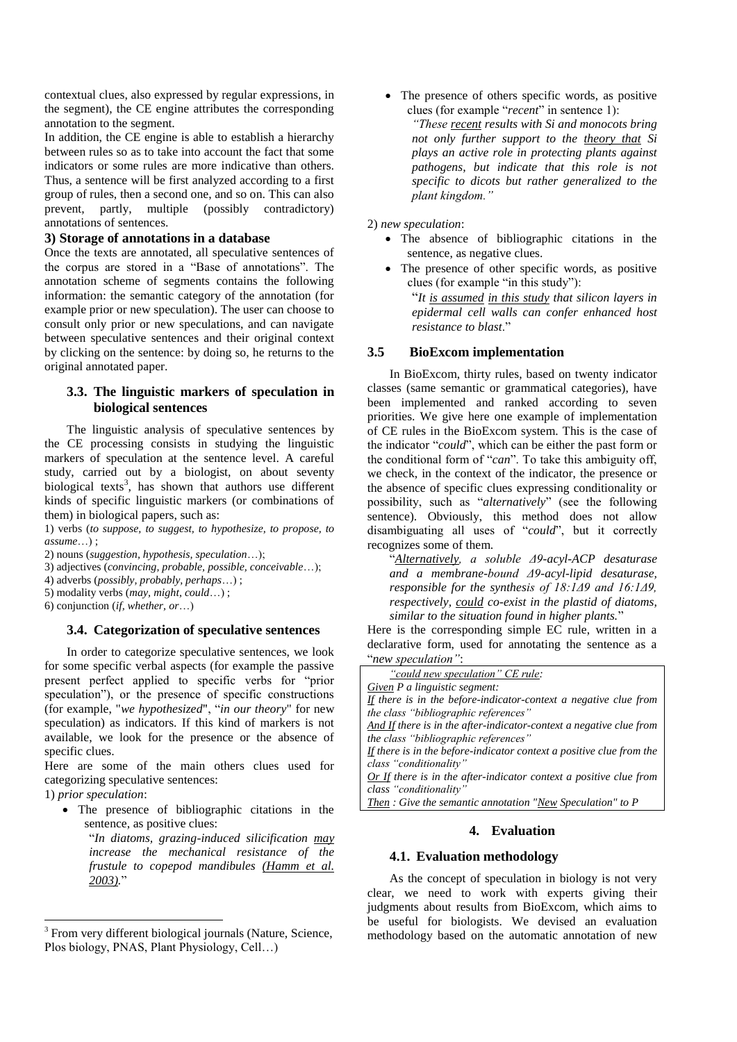contextual clues, also expressed by regular expressions, in the segment), the CE engine attributes the corresponding annotation to the segment.

In addition, the CE engine is able to establish a hierarchy between rules so as to take into account the fact that some indicators or some rules are more indicative than others. Thus, a sentence will be first analyzed according to a first group of rules, then a second one, and so on. This can also prevent, partly, multiple (possibly contradictory) annotations of sentences.

## **3) Storage of annotations in a database**

Once the texts are annotated, all speculative sentences of the corpus are stored in a "Base of annotations". The annotation scheme of segments contains the following information: the semantic category of the annotation (for example prior or new speculation). The user can choose to consult only prior or new speculations, and can navigate between speculative sentences and their original context by clicking on the sentence: by doing so, he returns to the original annotated paper.

## **3.3. The linguistic markers of speculation in biological sentences**

The linguistic analysis of speculative sentences by the CE processing consists in studying the linguistic markers of speculation at the sentence level. A careful study, carried out by a biologist, on about seventy biological texts<sup>3</sup>, has shown that authors use different kinds of specific linguistic markers (or combinations of them) in biological papers, such as:

1) verbs (*to suppose, to suggest, to hypothesize, to propose, to assume*…) ;

- 2) nouns (*suggestion, hypothesis, speculation*…);
- 3) adjectives (*convincing, probable, possible, conceivable*…);
- 4) adverbs (*possibly, probably, perhaps*…) ;
- 5) modality verbs (*may, might, could*…) ;
- 6) conjunction (*if, whether, or*…)

## **3.4. Categorization of speculative sentences**

In order to categorize speculative sentences, we look for some specific verbal aspects (for example the passive present perfect applied to specific verbs for "prior speculation"), or the presence of specific constructions (for example, "*we hypothesized*", "*in our theory*" for new speculation) as indicators. If this kind of markers is not available, we look for the presence or the absence of specific clues.

Here are some of the main others clues used for categorizing speculative sentences:

1) *prior speculation*:

1

 The presence of bibliographic citations in the sentence, as positive clues:

"*In diatoms, grazing-induced silicification may increase the mechanical resistance of the frustule to copepod mandibules (Hamm et al. 2003).*"

• The presence of others specific words, as positive clues (for example "*recent*" in sentence 1): *"These recent results with Si and monocots bring not only further support to the theory that Si plays an active role in protecting plants against pathogens, but indicate that this role is not specific to dicots but rather generalized to the plant kingdom."*

2) *new speculation*:

- The absence of bibliographic citations in the sentence, as negative clues.
- The presence of other specific words, as positive clues (for example "in this study"): "*It is assumed in this study that silicon layers in epidermal cell walls can confer enhanced host resistance to blast*."

### **3.5 BioExcom implementation**

In BioExcom, thirty rules, based on twenty indicator classes (same semantic or grammatical categories), have been implemented and ranked according to seven priorities. We give here one example of implementation of CE rules in the BioExcom system. This is the case of the indicator "*could*", which can be either the past form or the conditional form of "*can*". To take this ambiguity off, we check, in the context of the indicator, the presence or the absence of specific clues expressing conditionality or possibility, such as "*alternatively*" (see the following sentence). Obviously, this method does not allow disambiguating all uses of "*could*", but it correctly recognizes some of them*.*

"*Alternatively, a soluble Δ9-acyl-ACP desaturase and a membrane-bound Δ9-acyl-lipid desaturase, responsible for the synthesis of 18:1Δ9 and 16:1Δ9, respectively, could co-exist in the plastid of diatoms, similar to the situation found in higher plants.*"

Here is the corresponding simple EC rule, written in a declarative form, used for annotating the sentence as a "*new speculation"*:

### **4. Evaluation**

### **4.1. Evaluation methodology**

As the concept of speculation in biology is not very clear, we need to work with experts giving their judgments about results from BioExcom, which aims to be useful for biologists. We devised an evaluation methodology based on the automatic annotation of new

<sup>&</sup>lt;sup>3</sup> From very different biological journals (Nature, Science, Plos biology, PNAS, Plant Physiology, Cell…)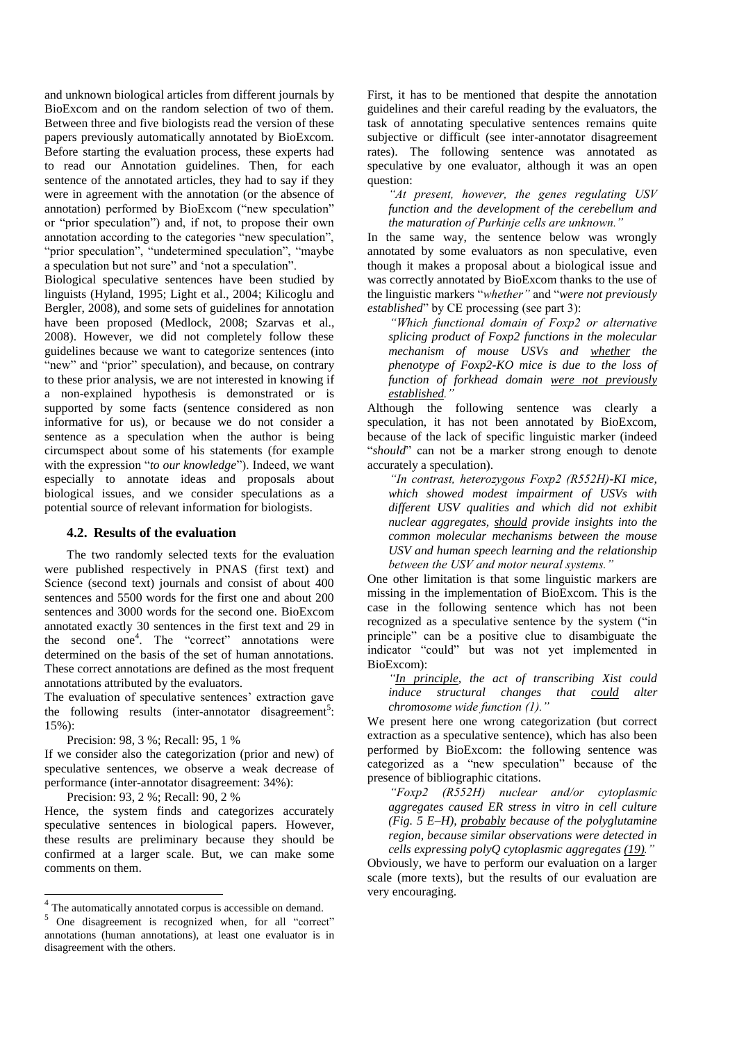and unknown biological articles from different journals by BioExcom and on the random selection of two of them. Between three and five biologists read the version of these papers previously automatically annotated by BioExcom. Before starting the evaluation process, these experts had to read our Annotation guidelines. Then, for each sentence of the annotated articles, they had to say if they were in agreement with the annotation (or the absence of annotation) performed by BioExcom ("new speculation" or "prior speculation") and, if not, to propose their own annotation according to the categories "new speculation", "prior speculation", "undetermined speculation", "maybe a speculation but not sure" and "not a speculation".

Biological speculative sentences have been studied by linguists (Hyland, 1995; Light et al., 2004; Kilicoglu and Bergler, 2008), and some sets of guidelines for annotation have been proposed (Medlock, 2008; Szarvas et al., 2008). However, we did not completely follow these guidelines because we want to categorize sentences (into "new" and "prior" speculation), and because, on contrary to these prior analysis, we are not interested in knowing if a non-explained hypothesis is demonstrated or is supported by some facts (sentence considered as non informative for us), or because we do not consider a sentence as a speculation when the author is being circumspect about some of his statements (for example with the expression "*to our knowledge*"). Indeed, we want especially to annotate ideas and proposals about biological issues, and we consider speculations as a potential source of relevant information for biologists.

#### **4.2. Results of the evaluation**

The two randomly selected texts for the evaluation were published respectively in PNAS (first text) and Science (second text) journals and consist of about 400 sentences and 5500 words for the first one and about 200 sentences and 3000 words for the second one. BioExcom annotated exactly 30 sentences in the first text and 29 in the second one<sup>4</sup> . The "correct" annotations were determined on the basis of the set of human annotations. These correct annotations are defined as the most frequent annotations attributed by the evaluators.

The evaluation of speculative sentences' extraction gave the following results (inter-annotator disagreement<sup>5</sup>: 15%):

Precision: 98, 3 %; Recall: 95, 1 %

If we consider also the categorization (prior and new) of speculative sentences, we observe a weak decrease of performance (inter-annotator disagreement: 34%):

Precision: 93, 2 %; Recall: 90, 2 %

Hence, the system finds and categorizes accurately speculative sentences in biological papers. However, these results are preliminary because they should be confirmed at a larger scale. But, we can make some comments on them.

First, it has to be mentioned that despite the annotation guidelines and their careful reading by the evaluators, the task of annotating speculative sentences remains quite subjective or difficult (see inter-annotator disagreement rates). The following sentence was annotated as speculative by one evaluator, although it was an open question:

*"At present, however, the genes regulating USV function and the development of the cerebellum and the maturation of Purkinje cells are unknown."*

In the same way, the sentence below was wrongly annotated by some evaluators as non speculative, even though it makes a proposal about a biological issue and was correctly annotated by BioExcom thanks to the use of the linguistic markers "*whether"* and "*were not previously established*" by CE processing (see part 3):

*"Which functional domain of Foxp2 or alternative splicing product of Foxp2 functions in the molecular mechanism of mouse USVs and whether the phenotype of Foxp2-KO mice is due to the loss of function of forkhead domain were not previously established."*

Although the following sentence was clearly a speculation, it has not been annotated by BioExcom, because of the lack of specific linguistic marker (indeed "*should*" can not be a marker strong enough to denote accurately a speculation).

*"In contrast, heterozygous Foxp2 (R552H)-KI mice, which showed modest impairment of USVs with different USV qualities and which did not exhibit nuclear aggregates, should provide insights into the common molecular mechanisms between the mouse USV and human speech learning and the relationship between the USV and motor neural systems."*

One other limitation is that some linguistic markers are missing in the implementation of BioExcom. This is the case in the following sentence which has not been recognized as a speculative sentence by the system ("in principle" can be a positive clue to disambiguate the indicator "could" but was not yet implemented in BioExcom):

*"In principle, the act of transcribing Xist could induce structural changes that could alter chromosome wide function (1)."*

We present here one wrong categorization (but correct extraction as a speculative sentence), which has also been performed by BioExcom: the following sentence was categorized as a "new speculation" because of the presence of bibliographic citations.

*"Foxp2 (R552H) nuclear and/or cytoplasmic aggregates caused ER stress in vitro in cell culture (Fig. 5 E–H), probably because of the polyglutamine region, because similar observations were detected in cells expressing polyQ cytoplasmic aggregates (19)."*

Obviously, we have to perform our evaluation on a larger scale (more texts), but the results of our evaluation are very encouraging.

The automatically annotated corpus is accessible on demand.

<sup>5</sup> One disagreement is recognized when, for all "correct" annotations (human annotations), at least one evaluator is in disagreement with the others.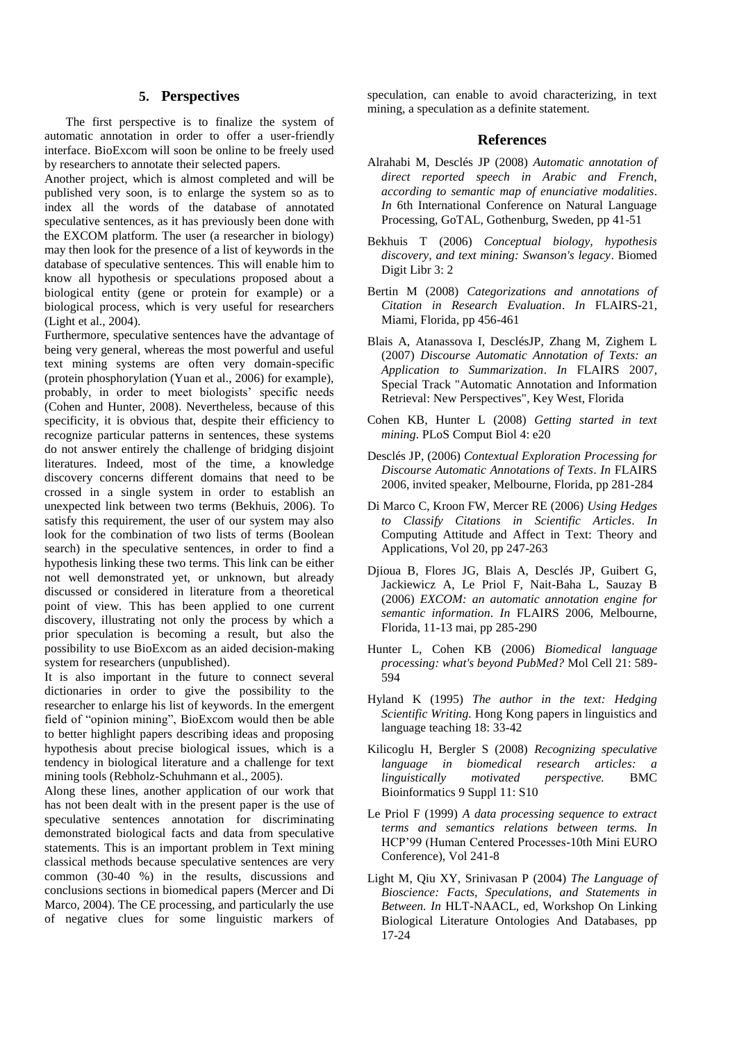# **5. Perspectives**

The first perspective is to finalize the system of automatic annotation in order to offer a user-friendly interface. BioExcom will soon be online to be freely used by researchers to annotate their selected papers.

Another project, which is almost completed and will be published very soon, is to enlarge the system so as to index all the words of the database of annotated speculative sentences, as it has previously been done with the EXCOM platform. The user (a researcher in biology) may then look for the presence of a list of keywords in the database of speculative sentences. This will enable him to know all hypothesis or speculations proposed about a biological entity (gene or protein for example) or a biological process, which is very useful for researchers (Light et al., 2004).

Furthermore, speculative sentences have the advantage of being very general, whereas the most powerful and useful text mining systems are often very domain-specific (protein phosphorylation (Yuan et al., 2006) for example), probably, in order to meet biologists' specific needs (Cohen and Hunter, 2008). Nevertheless, because of this specificity, it is obvious that, despite their efficiency to recognize particular patterns in sentences, these systems do not answer entirely the challenge of bridging disjoint literatures. Indeed, most of the time, a knowledge discovery concerns different domains that need to be crossed in a single system in order to establish an unexpected link between two terms (Bekhuis, 2006). To satisfy this requirement, the user of our system may also look for the combination of two lists of terms (Boolean search) in the speculative sentences, in order to find a hypothesis linking these two terms. This link can be either not well demonstrated yet, or unknown, but already discussed or considered in literature from a theoretical point of view. This has been applied to one current discovery, illustrating not only the process by which a prior speculation is becoming a result, but also the possibility to use BioExcom as an aided decision-making system for researchers (unpublished).

It is also important in the future to connect several dictionaries in order to give the possibility to the researcher to enlarge his list of keywords. In the emergent field of "opinion mining", BioExcom would then be able to better highlight papers describing ideas and proposing hypothesis about precise biological issues, which is a tendency in biological literature and a challenge for text mining tools (Rebholz-Schuhmann et al., 2005).

Along these lines, another application of our work that has not been dealt with in the present paper is the use of speculative sentences annotation for discriminating demonstrated biological facts and data from speculative statements. This is an important problem in Text mining classical methods because speculative sentences are very common (30-40 %) in the results, discussions and conclusions sections in biomedical papers (Mercer and Di Marco, 2004). The CE processing, and particularly the use of negative clues for some linguistic markers of speculation, can enable to avoid characterizing, in text mining, a speculation as a definite statement.

## **References**

- Alrahabi M, Desclés JP (2008) *Automatic annotation of direct reported speech in Arabic and French, according to semantic map of enunciative modalities*. *In* 6th International Conference on Natural Language Processing, GoTAL, Gothenburg, Sweden, pp 41-51
- Bekhuis T (2006) *Conceptual biology, hypothesis discovery, and text mining: Swanson's legacy*. Biomed Digit Libr 3: 2
- Bertin M (2008) *Categorizations and annotations of Citation in Research Evaluation*. *In* FLAIRS-21, Miami, Florida, pp 456-461
- Blais A, Atanassova I, DesclésJP, Zhang M, Zighem L (2007) *Discourse Automatic Annotation of Texts: an Application to Summarization*. *In* FLAIRS 2007, Special Track "Automatic Annotation and Information Retrieval: New Perspectives", Key West, Florida
- Cohen KB, Hunter L (2008) *Getting started in text mining*. PLoS Comput Biol 4: e20
- Desclés JP, (2006) *Contextual Exploration Processing for Discourse Automatic Annotations of Texts*. *In* FLAIRS 2006, invited speaker, Melbourne, Florida, pp 281-284
- Di Marco C, Kroon FW, Mercer RE (2006) *Using Hedges to Classify Citations in Scientific Articles*. *In* Computing Attitude and Affect in Text: Theory and Applications, Vol 20, pp 247-263
- Djioua B, Flores JG, Blais A, Desclés JP, Guibert G, Jackiewicz A, Le Priol F, Nait-Baha L, Sauzay B (2006) *EXCOM: an automatic annotation engine for semantic information*. *In* FLAIRS 2006, Melbourne, Florida, 11-13 mai, pp 285-290
- Hunter L, Cohen KB (2006) *Biomedical language processing: what's beyond PubMed?* Mol Cell 21: 589- 594
- Hyland K (1995) *The author in the text: Hedging Scientific Writing.* Hong Kong papers in linguistics and language teaching 18: 33-42
- Kilicoglu H, Bergler S (2008) *Recognizing speculative language in biomedical research articles: a linguistically motivated perspective.* BMC Bioinformatics 9 Suppl 11: S10
- Le Priol F (1999) *A data processing sequence to extract terms and semantics relations between terms. In* HCP"99 (Human Centered Processes-10th Mini EURO Conference), Vol 241-8
- Light M, Qiu XY, Srinivasan P (2004) *The Language of Bioscience: Facts, Speculations, and Statements in Between. In* HLT-NAACL, ed, Workshop On Linking Biological Literature Ontologies And Databases, pp 17-24